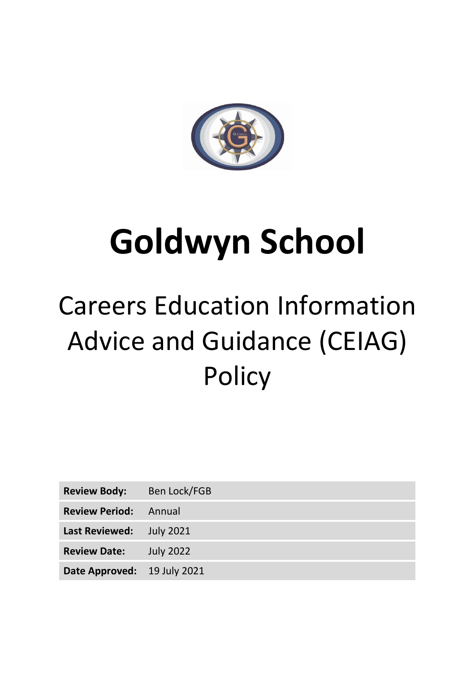

# **Goldwyn School**

# Careers Education Information Advice and Guidance (CEIAG) **Policy**

| <b>Review Body:</b>         | Ben Lock/FGB     |
|-----------------------------|------------------|
| <b>Review Period:</b>       | – Annual         |
| <b>Last Reviewed:</b>       | July 2021        |
| <b>Review Date:</b>         | <b>July 2022</b> |
| Date Approved: 19 July 2021 |                  |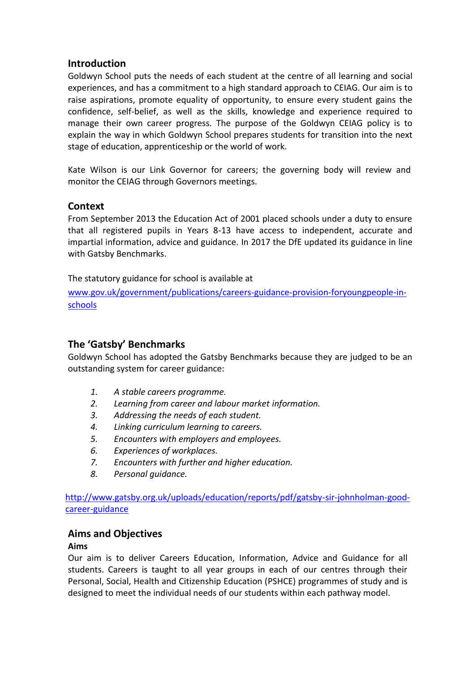## **Introduction**

Goldwyn School puts the needs of each student at the centre of all learning and social experiences, and has a commitment to a high standard approach to CEIAG. Our aim is to raise aspirations, promote equality of opportunity, to ensure every student gains the confidence, self-belief, as well as the skills, knowledge and experience required to manage their own career progress. The purpose of the Goldwyn CEIAG policy is to explain the way in which Goldwyn School prepares students for transition into the next stage of education, apprenticeship or the world of work.

Kate Wilson is our Link Governor for careers; the governing body will review and monitor the CEIAG through Governors meetings.

## **Context**

From September 2013 the Education Act of 2001 placed schools under a duty to ensure that all registered pupils in Years 8-13 have access to independent, accurate and impartial information, advice and guidance. In 2017 the DfE updated its guidance in line with Gatsby Benchmarks.

The statutory guidance for school is available at

[www.gov.uk/government/publications/careers-guidance-provision-foryoungpeople-in](http://www.gov.uk/government/publications/careers-guidance-provision-foryoungpeople-in-schools)[schools](http://www.gov.uk/government/publications/careers-guidance-provision-foryoungpeople-in-schools)

# **The 'Gatsby' Benchmarks**

Goldwyn School has adopted the Gatsby Benchmarks because they are judged to be an outstanding system for career guidance:

- *1. A stable careers programme.*
- *2. Learning from career and labour market information.*
- *3. Addressing the needs of each student.*
- *4. Linking curriculum learning to careers.*
- *5. Encounters with employers and employees.*
- *6. Experiences of workplaces.*
- *7. Encounters with further and higher education.*
- *8. Personal guidance.*

[http://www.gatsby.org.uk/uploads/education/reports/pdf/gatsby-sir-johnholman-good](http://www.gatsby.org.uk/uploads/education/reports/pdf/gatsby-sir-johnholman-good-career-guidance)[career-guidance](http://www.gatsby.org.uk/uploads/education/reports/pdf/gatsby-sir-johnholman-good-career-guidance)

#### **Aims and Objectives**

#### **Aims**

Our aim is to deliver Careers Education, Information, Advice and Guidance for all students. Careers is taught to all year groups in each of our centres through their Personal, Social, Health and Citizenship Education (PSHCE) programmes of study and is designed to meet the individual needs of our students within each pathway model.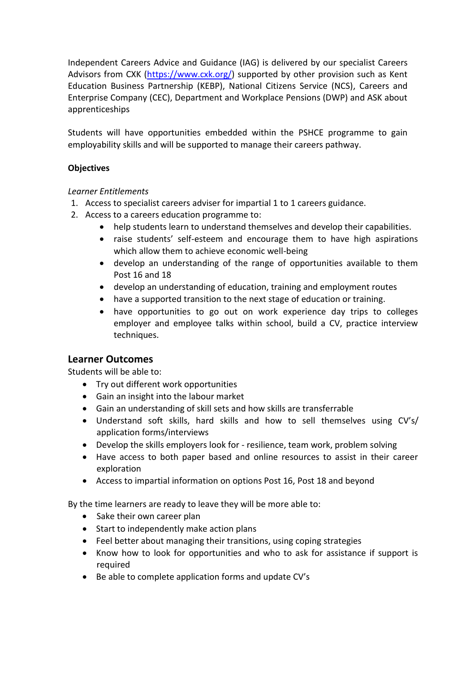Independent Careers Advice and Guidance (IAG) is delivered by our specialist Careers Advisors from CXK [\(https://www.cxk.org/\)](https://www.cxk.org/) supported by other provision such as Kent Education Business Partnership (KEBP), National Citizens Service (NCS), Careers and Enterprise Company (CEC), Department and Workplace Pensions (DWP) and ASK about apprenticeships

Students will have opportunities embedded within the PSHCE programme to gain employability skills and will be supported to manage their careers pathway.

#### **Objectives**

#### *Learner Entitlements*

- 1. Access to specialist careers adviser for impartial 1 to 1 careers guidance.
- 2. Access to a careers education programme to:
	- help students learn to understand themselves and develop their capabilities.
	- raise students' self-esteem and encourage them to have high aspirations which allow them to achieve economic well-being
	- develop an understanding of the range of opportunities available to them Post 16 and 18
	- develop an understanding of education, training and employment routes
	- have a supported transition to the next stage of education or training.
	- have opportunities to go out on work experience day trips to colleges employer and employee talks within school, build a CV, practice interview techniques.

# **Learner Outcomes**

Students will be able to:

- Try out different work opportunities
- Gain an insight into the labour market
- Gain an understanding of skill sets and how skills are transferrable
- Understand soft skills, hard skills and how to sell themselves using CV's/ application forms/interviews
- Develop the skills employers look for resilience, team work, problem solving
- Have access to both paper based and online resources to assist in their career exploration
- Access to impartial information on options Post 16, Post 18 and beyond

By the time learners are ready to leave they will be more able to:

- Sake their own career plan
- Start to independently make action plans
- Feel better about managing their transitions, using coping strategies
- Know how to look for opportunities and who to ask for assistance if support is required
- Be able to complete application forms and update CV's